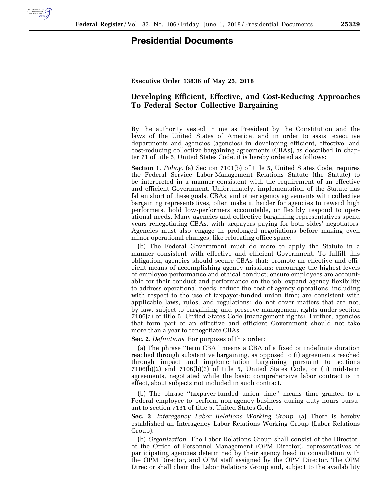

## **Presidential Documents**

**Executive Order 13836 of May 25, 2018** 

## **Developing Efficient, Effective, and Cost-Reducing Approaches To Federal Sector Collective Bargaining**

By the authority vested in me as President by the Constitution and the laws of the United States of America, and in order to assist executive departments and agencies (agencies) in developing efficient, effective, and cost-reducing collective bargaining agreements (CBAs), as described in chapter 71 of title 5, United States Code, it is hereby ordered as follows:

**Section 1**. *Policy*. (a) Section 7101(b) of title 5, United States Code, requires the Federal Service Labor-Management Relations Statute (the Statute) to be interpreted in a manner consistent with the requirement of an effective and efficient Government. Unfortunately, implementation of the Statute has fallen short of these goals. CBAs, and other agency agreements with collective bargaining representatives, often make it harder for agencies to reward high performers, hold low-performers accountable, or flexibly respond to operational needs. Many agencies and collective bargaining representatives spend years renegotiating CBAs, with taxpayers paying for both sides' negotiators. Agencies must also engage in prolonged negotiations before making even minor operational changes, like relocating office space.

(b) The Federal Government must do more to apply the Statute in a manner consistent with effective and efficient Government. To fulfill this obligation, agencies should secure CBAs that: promote an effective and efficient means of accomplishing agency missions; encourage the highest levels of employee performance and ethical conduct; ensure employees are accountable for their conduct and performance on the job; expand agency flexibility to address operational needs; reduce the cost of agency operations, including with respect to the use of taxpayer-funded union time; are consistent with applicable laws, rules, and regulations; do not cover matters that are not, by law, subject to bargaining; and preserve management rights under section 7106(a) of title 5, United States Code (management rights). Further, agencies that form part of an effective and efficient Government should not take more than a year to renegotiate CBAs.

## **Sec. 2**. *Definitions*. For purposes of this order:

(a) The phrase ''term CBA'' means a CBA of a fixed or indefinite duration reached through substantive bargaining, as opposed to (i) agreements reached through impact and implementation bargaining pursuant to sections 7106(b)(2) and 7106(b)(3) of title 5, United States Code, or (ii) mid-term agreements, negotiated while the basic comprehensive labor contract is in effect, about subjects not included in such contract.

(b) The phrase ''taxpayer-funded union time'' means time granted to a Federal employee to perform non-agency business during duty hours pursuant to section 7131 of title 5, United States Code.

**Sec. 3**. *Interagency Labor Relations Working Group*. (a) There is hereby established an Interagency Labor Relations Working Group (Labor Relations Group).

(b) *Organization*. The Labor Relations Group shall consist of the Director of the Office of Personnel Management (OPM Director), representatives of participating agencies determined by their agency head in consultation with the OPM Director, and OPM staff assigned by the OPM Director. The OPM Director shall chair the Labor Relations Group and, subject to the availability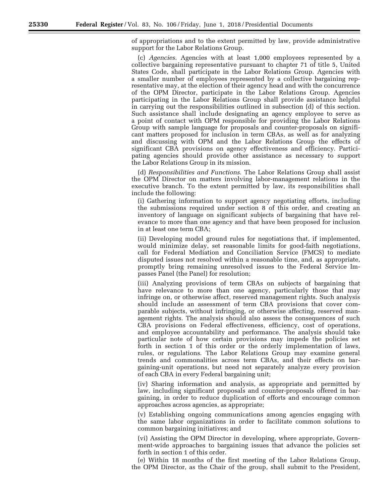of appropriations and to the extent permitted by law, provide administrative support for the Labor Relations Group.

(c) *Agencies*. Agencies with at least 1,000 employees represented by a collective bargaining representative pursuant to chapter 71 of title 5, United States Code, shall participate in the Labor Relations Group. Agencies with a smaller number of employees represented by a collective bargaining representative may, at the election of their agency head and with the concurrence of the OPM Director, participate in the Labor Relations Group. Agencies participating in the Labor Relations Group shall provide assistance helpful in carrying out the responsibilities outlined in subsection (d) of this section. Such assistance shall include designating an agency employee to serve as a point of contact with OPM responsible for providing the Labor Relations Group with sample language for proposals and counter-proposals on significant matters proposed for inclusion in term CBAs, as well as for analyzing and discussing with OPM and the Labor Relations Group the effects of significant CBA provisions on agency effectiveness and efficiency. Participating agencies should provide other assistance as necessary to support the Labor Relations Group in its mission.

(d) *Responsibilities and Functions*. The Labor Relations Group shall assist the OPM Director on matters involving labor-management relations in the executive branch. To the extent permitted by law, its responsibilities shall include the following:

(i) Gathering information to support agency negotiating efforts, including the submissions required under section 8 of this order, and creating an inventory of language on significant subjects of bargaining that have relevance to more than one agency and that have been proposed for inclusion in at least one term CBA;

(ii) Developing model ground rules for negotiations that, if implemented, would minimize delay, set reasonable limits for good-faith negotiations, call for Federal Mediation and Conciliation Service (FMCS) to mediate disputed issues not resolved within a reasonable time, and, as appropriate, promptly bring remaining unresolved issues to the Federal Service Impasses Panel (the Panel) for resolution;

(iii) Analyzing provisions of term CBAs on subjects of bargaining that have relevance to more than one agency, particularly those that may infringe on, or otherwise affect, reserved management rights. Such analysis should include an assessment of term CBA provisions that cover comparable subjects, without infringing, or otherwise affecting, reserved management rights. The analysis should also assess the consequences of such CBA provisions on Federal effectiveness, efficiency, cost of operations, and employee accountability and performance. The analysis should take particular note of how certain provisions may impede the policies set forth in section 1 of this order or the orderly implementation of laws, rules, or regulations. The Labor Relations Group may examine general trends and commonalities across term CBAs, and their effects on bargaining-unit operations, but need not separately analyze every provision of each CBA in every Federal bargaining unit;

(iv) Sharing information and analysis, as appropriate and permitted by law, including significant proposals and counter-proposals offered in bargaining, in order to reduce duplication of efforts and encourage common approaches across agencies, as appropriate;

(v) Establishing ongoing communications among agencies engaging with the same labor organizations in order to facilitate common solutions to common bargaining initiatives; and

(vi) Assisting the OPM Director in developing, where appropriate, Government-wide approaches to bargaining issues that advance the policies set forth in section 1 of this order.

(e) Within 18 months of the first meeting of the Labor Relations Group, the OPM Director, as the Chair of the group, shall submit to the President,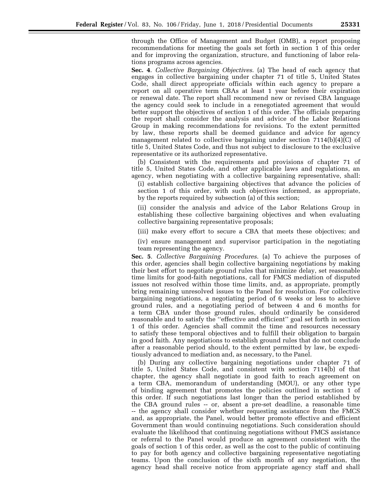through the Office of Management and Budget (OMB), a report proposing recommendations for meeting the goals set forth in section 1 of this order and for improving the organization, structure, and functioning of labor relations programs across agencies.

**Sec. 4**. *Collective Bargaining Objectives*. (a) The head of each agency that engages in collective bargaining under chapter 71 of title 5, United States Code, shall direct appropriate officials within each agency to prepare a report on all operative term CBAs at least 1 year before their expiration or renewal date. The report shall recommend new or revised CBA language the agency could seek to include in a renegotiated agreement that would better support the objectives of section 1 of this order. The officials preparing the report shall consider the analysis and advice of the Labor Relations Group in making recommendations for revisions. To the extent permitted by law, these reports shall be deemed guidance and advice for agency management related to collective bargaining under section  $7114(b)(4)(C)$  of title 5, United States Code, and thus not subject to disclosure to the exclusive representative or its authorized representative.

(b) Consistent with the requirements and provisions of chapter 71 of title 5, United States Code, and other applicable laws and regulations, an agency, when negotiating with a collective bargaining representative, shall:

(i) establish collective bargaining objectives that advance the policies of section 1 of this order, with such objectives informed, as appropriate, by the reports required by subsection (a) of this section;

(ii) consider the analysis and advice of the Labor Relations Group in establishing these collective bargaining objectives and when evaluating collective bargaining representative proposals;

(iii) make every effort to secure a CBA that meets these objectives; and

(iv) ensure management and supervisor participation in the negotiating team representing the agency.

**Sec. 5**. *Collective Bargaining Procedures*. (a) To achieve the purposes of this order, agencies shall begin collective bargaining negotiations by making their best effort to negotiate ground rules that minimize delay, set reasonable time limits for good-faith negotiations, call for FMCS mediation of disputed issues not resolved within those time limits, and, as appropriate, promptly bring remaining unresolved issues to the Panel for resolution. For collective bargaining negotiations, a negotiating period of 6 weeks or less to achieve ground rules, and a negotiating period of between 4 and 6 months for a term CBA under those ground rules, should ordinarily be considered reasonable and to satisfy the ''effective and efficient'' goal set forth in section 1 of this order. Agencies shall commit the time and resources necessary to satisfy these temporal objectives and to fulfill their obligation to bargain in good faith. Any negotiations to establish ground rules that do not conclude after a reasonable period should, to the extent permitted by law, be expeditiously advanced to mediation and, as necessary, to the Panel.

(b) During any collective bargaining negotiations under chapter 71 of title 5, United States Code, and consistent with section 7114(b) of that chapter, the agency shall negotiate in good faith to reach agreement on a term CBA, memorandum of understanding (MOU), or any other type of binding agreement that promotes the policies outlined in section 1 of this order. If such negotiations last longer than the period established by the CBA ground rules -- or, absent a pre-set deadline, a reasonable time -- the agency shall consider whether requesting assistance from the FMCS and, as appropriate, the Panel, would better promote effective and efficient Government than would continuing negotiations. Such consideration should evaluate the likelihood that continuing negotiations without FMCS assistance or referral to the Panel would produce an agreement consistent with the goals of section 1 of this order, as well as the cost to the public of continuing to pay for both agency and collective bargaining representative negotiating teams. Upon the conclusion of the sixth month of any negotiation, the agency head shall receive notice from appropriate agency staff and shall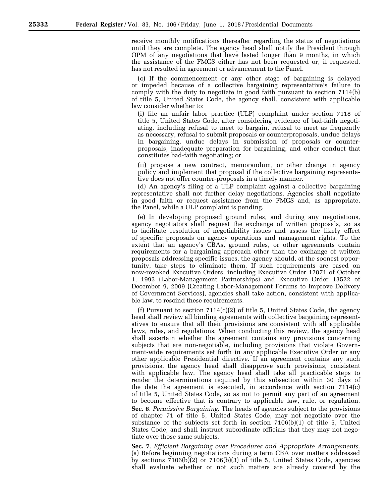receive monthly notifications thereafter regarding the status of negotiations until they are complete. The agency head shall notify the President through OPM of any negotiations that have lasted longer than 9 months, in which the assistance of the FMCS either has not been requested or, if requested, has not resulted in agreement or advancement to the Panel.

(c) If the commencement or any other stage of bargaining is delayed or impeded because of a collective bargaining representative's failure to comply with the duty to negotiate in good faith pursuant to section 7114(b) of title 5, United States Code, the agency shall, consistent with applicable law consider whether to:

(i) file an unfair labor practice (ULP) complaint under section 7118 of title 5, United States Code, after considering evidence of bad-faith negotiating, including refusal to meet to bargain, refusal to meet as frequently as necessary, refusal to submit proposals or counterproposals, undue delays in bargaining, undue delays in submission of proposals or counterproposals, inadequate preparation for bargaining, and other conduct that constitutes bad-faith negotiating; or

(ii) propose a new contract, memorandum, or other change in agency policy and implement that proposal if the collective bargaining representative does not offer counter-proposals in a timely manner.

(d) An agency's filing of a ULP complaint against a collective bargaining representative shall not further delay negotiations. Agencies shall negotiate in good faith or request assistance from the FMCS and, as appropriate, the Panel, while a ULP complaint is pending.

(e) In developing proposed ground rules, and during any negotiations, agency negotiators shall request the exchange of written proposals, so as to facilitate resolution of negotiability issues and assess the likely effect of specific proposals on agency operations and management rights. To the extent that an agency's CBAs, ground rules, or other agreements contain requirements for a bargaining approach other than the exchange of written proposals addressing specific issues, the agency should, at the soonest opportunity, take steps to eliminate them. If such requirements are based on now-revoked Executive Orders, including Executive Order 12871 of October 1, 1993 (Labor-Management Partnerships) and Executive Order 13522 of December 9, 2009 (Creating Labor-Management Forums to Improve Delivery of Government Services), agencies shall take action, consistent with applicable law, to rescind these requirements.

(f) Pursuant to section  $7114(c)(2)$  of title 5, United States Code, the agency head shall review all binding agreements with collective bargaining representatives to ensure that all their provisions are consistent with all applicable laws, rules, and regulations. When conducting this review, the agency head shall ascertain whether the agreement contains any provisions concerning subjects that are non-negotiable, including provisions that violate Government-wide requirements set forth in any applicable Executive Order or any other applicable Presidential directive. If an agreement contains any such provisions, the agency head shall disapprove such provisions, consistent with applicable law. The agency head shall take all practicable steps to render the determinations required by this subsection within 30 days of the date the agreement is executed, in accordance with section 7114(c) of title 5, United States Code, so as not to permit any part of an agreement to become effective that is contrary to applicable law, rule, or regulation. **Sec. 6**. *Permissive Bargaining*. The heads of agencies subject to the provisions of chapter 71 of title 5, United States Code, may not negotiate over the substance of the subjects set forth in section 7106(b)(1) of title 5, United States Code, and shall instruct subordinate officials that they may not negotiate over those same subjects.

**Sec. 7**. *Efficient Bargaining over Procedures and Appropriate Arrangements*. (a) Before beginning negotiations during a term CBA over matters addressed by sections 7106(b)(2) or 7106(b)(3) of title 5, United States Code, agencies shall evaluate whether or not such matters are already covered by the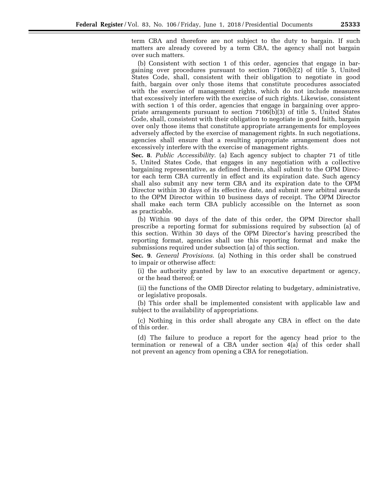term CBA and therefore are not subject to the duty to bargain. If such matters are already covered by a term CBA, the agency shall not bargain over such matters.

(b) Consistent with section 1 of this order, agencies that engage in bargaining over procedures pursuant to section  $7106(b)(2)$  of title 5, United States Code, shall, consistent with their obligation to negotiate in good faith, bargain over only those items that constitute procedures associated with the exercise of management rights, which do not include measures that excessively interfere with the exercise of such rights. Likewise, consistent with section 1 of this order, agencies that engage in bargaining over appropriate arrangements pursuant to section 7106(b)(3) of title 5, United States Code, shall, consistent with their obligation to negotiate in good faith, bargain over only those items that constitute appropriate arrangements for employees adversely affected by the exercise of management rights. In such negotiations, agencies shall ensure that a resulting appropriate arrangement does not excessively interfere with the exercise of management rights.

**Sec. 8**. *Public Accessibility*. (a) Each agency subject to chapter 71 of title 5, United States Code, that engages in any negotiation with a collective bargaining representative, as defined therein, shall submit to the OPM Director each term CBA currently in effect and its expiration date. Such agency shall also submit any new term CBA and its expiration date to the OPM Director within 30 days of its effective date, and submit new arbitral awards to the OPM Director within 10 business days of receipt. The OPM Director shall make each term CBA publicly accessible on the Internet as soon as practicable.

(b) Within 90 days of the date of this order, the OPM Director shall prescribe a reporting format for submissions required by subsection (a) of this section. Within 30 days of the OPM Director's having prescribed the reporting format, agencies shall use this reporting format and make the submissions required under subsection (a) of this section.

**Sec. 9**. *General Provisions*. (a) Nothing in this order shall be construed to impair or otherwise affect:

(i) the authority granted by law to an executive department or agency, or the head thereof; or

(ii) the functions of the OMB Director relating to budgetary, administrative, or legislative proposals.

(b) This order shall be implemented consistent with applicable law and subject to the availability of appropriations.

(c) Nothing in this order shall abrogate any CBA in effect on the date of this order.

(d) The failure to produce a report for the agency head prior to the termination or renewal of a CBA under section 4(a) of this order shall not prevent an agency from opening a CBA for renegotiation.